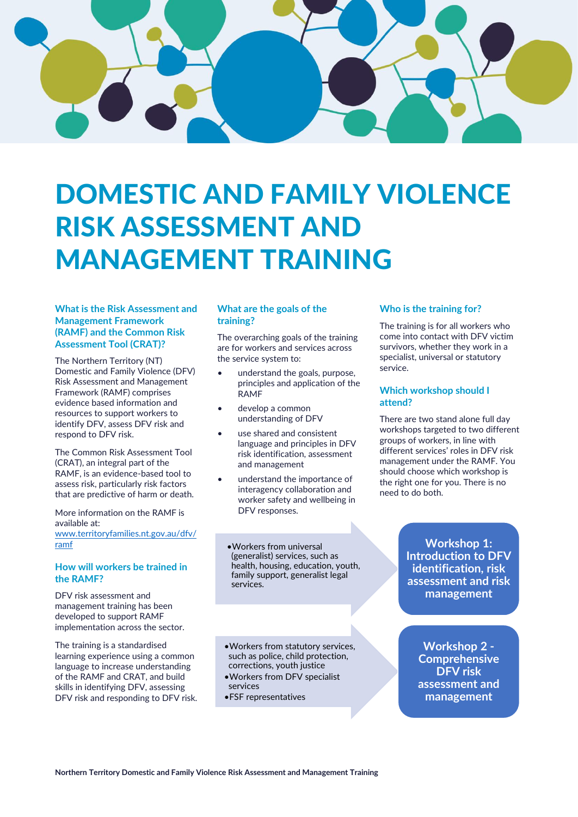

# DOMESTIC AND FAMILY VIOLENCE RISK ASSESSMENT AND MANAGEMENT TRAINING

# **What is the Risk Assessment and Management Framework (RAMF) and the Common Risk Assessment Tool (CRAT)?**

The Northern Territory (NT) Domestic and Family Violence (DFV) Risk Assessment and Management Framework (RAMF) comprises evidence based information and resources to support workers to identify DFV, assess DFV risk and respond to DFV risk.

The Common Risk Assessment Tool (CRAT), an integral part of the RAMF, is an evidence-based tool to assess risk, particularly risk factors that are predictive of harm or death.

More information on the RAMF is available at: [www.territoryfamilies.nt.gov.au/dfv/](http://www.territoryfamilies.nt.gov.au/dfv/ramf) [ramf](http://www.territoryfamilies.nt.gov.au/dfv/ramf)

# **How will workers be trained in the RAMF?**

DFV risk assessment and management training has been developed to support RAMF implementation across the sector.

The training is a standardised learning experience using a common language to increase understanding of the RAMF and CRAT, and build skills in identifying DFV, assessing DFV risk and responding to DFV risk.

# **What are the goals of the training?**

The overarching goals of the training are for workers and services across the service system to:

- understand the goals, purpose, principles and application of the RAMF
- develop a common understanding of DFV
- use shared and consistent language and principles in DFV risk identification, assessment and management
- understand the importance of interagency collaboration and worker safety and wellbeing in DFV responses.

•Workers from universal (generalist) services, such as health, housing, education, youth, family support, generalist legal services.

•Workers from statutory services, such as police, child protection, corrections, youth justice

- •Workers from DFV specialist services
- •FSF representatives

# **Who is the training for?**

The training is for all workers who come into contact with DFV victim survivors, whether they work in a specialist, universal or statutory service.

# **Which workshop should I attend?**

There are two stand alone full day workshops targeted to two different groups of workers, in line with different services' roles in DFV risk management under the RAMF. You should choose which workshop is the right one for you. There is no need to do both.

> **Workshop 1: Introduction to DFV identification, risk assessment and risk management**

**Workshop 2 - Comprehensive DFV risk assessment and management**